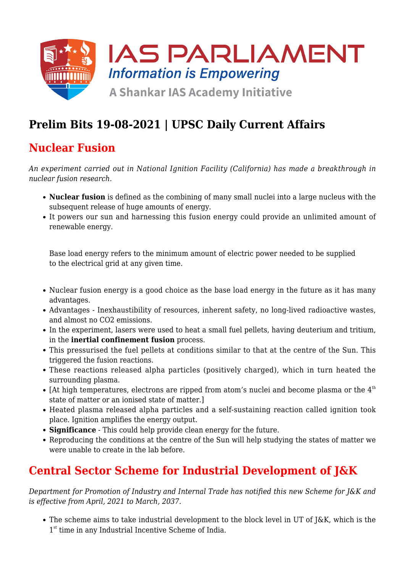

# **Prelim Bits 19-08-2021 | UPSC Daily Current Affairs**

### **Nuclear Fusion**

*An experiment carried out in National Ignition Facility (California) has made a breakthrough in nuclear fusion research.*

- **Nuclear fusion** is defined as the combining of many small nuclei into a large nucleus with the subsequent release of huge amounts of energy.
- It powers our sun and harnessing this fusion energy could provide an unlimited amount of renewable energy.

Base load energy refers to the minimum amount of electric power needed to be supplied to the electrical grid at any given time.

- Nuclear fusion energy is a good choice as the base load energy in the future as it has many advantages.
- Advantages Inexhaustibility of resources, inherent safety, no long-lived radioactive wastes, and almost no CO2 emissions.
- In the experiment, lasers were used to heat a small fuel pellets, having deuterium and tritium, in the **inertial confinement fusion** process.
- This pressurised the fuel pellets at conditions similar to that at the centre of the Sun. This triggered the fusion reactions.
- These reactions released alpha particles (positively charged), which in turn heated the surrounding plasma.
- [At high temperatures, electrons are ripped from atom's nuclei and become plasma or the  $4<sup>th</sup>$ state of matter or an ionised state of matter.]
- Heated plasma released alpha particles and a self-sustaining reaction called ignition took place. Ignition amplifies the energy output.
- **Significance** This could help provide clean energy for the future.
- Reproducing the conditions at the centre of the Sun will help studying the states of matter we were unable to create in the lab before.

## **Central Sector Scheme for Industrial Development of J&K**

*Department for Promotion of Industry and Internal Trade has notified this new Scheme for J&K and is effective from April, 2021 to March, 2037.*

The scheme aims to take industrial development to the block level in UT of J&K, which is the 1<sup>st</sup> time in any Industrial Incentive Scheme of India.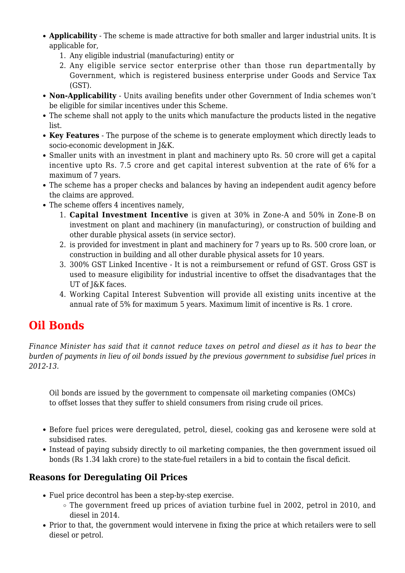- **Applicability** The scheme is made attractive for both smaller and larger industrial units. It is applicable for,
	- 1. Any eligible industrial (manufacturing) entity or
	- 2. Any eligible service sector enterprise other than those run departmentally by Government, which is registered business enterprise under Goods and Service Tax (GST).
- **Non-Applicability** Units availing benefits under other Government of India schemes won't be eligible for similar incentives under this Scheme.
- The scheme shall not apply to the units which manufacture the products listed in the negative list.
- **Key Features** The purpose of the scheme is to generate employment which directly leads to socio-economic development in J&K.
- Smaller units with an investment in plant and machinery upto Rs. 50 crore will get a capital incentive upto Rs. 7.5 crore and get capital interest subvention at the rate of 6% for a maximum of 7 years.
- The scheme has a proper checks and balances by having an independent audit agency before the claims are approved.
- The scheme offers 4 incentives namely,
	- 1. **Capital Investment Incentive** is given at 30% in Zone-A and 50% in Zone-B on investment on plant and machinery (in manufacturing), or construction of building and other durable physical assets (in service sector).
	- 2. is provided for investment in plant and machinery for 7 years up to Rs. 500 crore loan, or construction in building and all other durable physical assets for 10 years.
	- 3. 300% GST Linked Incentive It is not a reimbursement or refund of GST. Gross GST is used to measure eligibility for industrial incentive to offset the disadvantages that the UT of J&K faces.
	- 4. Working Capital Interest Subvention will provide all existing units incentive at the annual rate of 5% for maximum 5 years. Maximum limit of incentive is Rs. 1 crore.

## **Oil Bonds**

*Finance Minister has said that it cannot reduce taxes on petrol and diesel as it has to bear the burden of payments in lieu of oil bonds issued by the previous government to subsidise fuel prices in 2012-13.*

Oil bonds are issued by the government to compensate oil marketing companies (OMCs) to offset losses that they suffer to shield consumers from rising crude oil prices.

- Before fuel prices were deregulated, petrol, diesel, cooking gas and kerosene were sold at subsidised rates.
- Instead of paying subsidy directly to oil marketing companies, the then government issued oil bonds (Rs 1.34 lakh crore) to the state-fuel retailers in a bid to contain the fiscal deficit.

### **Reasons for Deregulating Oil Prices**

- Fuel price decontrol has been a step-by-step exercise.
	- The government freed up prices of aviation turbine fuel in 2002, petrol in 2010, and diesel in 2014.
- Prior to that, the government would intervene in fixing the price at which retailers were to sell diesel or petrol.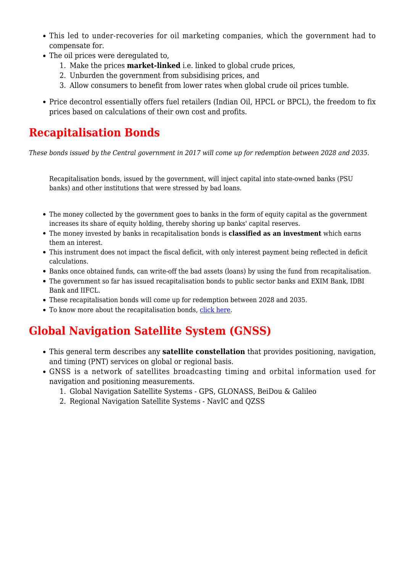- This led to under-recoveries for oil marketing companies, which the government had to compensate for.
- The oil prices were deregulated to,
	- 1. Make the prices **market-linked** i.e. linked to global crude prices,
	- 2. Unburden the government from subsidising prices, and
	- 3. Allow consumers to benefit from lower rates when global crude oil prices tumble.
- Price decontrol essentially offers fuel retailers (Indian Oil, HPCL or BPCL), the freedom to fix prices based on calculations of their own cost and profits.

### **Recapitalisation Bonds**

*These bonds issued by the Central government in 2017 will come up for redemption between 2028 and 2035.*

Recapitalisation bonds, issued by the government, will inject capital into state-owned banks (PSU banks) and other institutions that were stressed by bad loans.

- The money collected by the government goes to banks in the form of equity capital as the government increases its share of equity holding, thereby shoring up banks' capital reserves.
- The money invested by banks in recapitalisation bonds is **classified as an investment** which earns them an interest.
- This instrument does not impact the fiscal deficit, with only interest payment being reflected in deficit calculations.
- Banks once obtained funds, can write-off the bad assets (loans) by using the fund from recapitalisation.
- The government so far has issued recapitalisation bonds to public sector banks and EXIM Bank, IDBI Bank and IIFCL.
- These recapitalisation bonds will come up for redemption between 2028 and 2035.
- To know more about the recapitalisation bonds, [click here.](https://www.iasparliament.com/current-affairs/archives/00/00/00/psbs-recapitalisation-plan)

# **Global Navigation Satellite System (GNSS)**

- This general term describes any **satellite constellation** that provides positioning, navigation, and timing (PNT) services on global or regional basis.
- GNSS is a network of satellites broadcasting timing and orbital information used for navigation and positioning measurements.
	- 1. Global Navigation Satellite Systems GPS, GLONASS, BeiDou & Galileo
	- 2. Regional Navigation Satellite Systems NavIC and QZSS